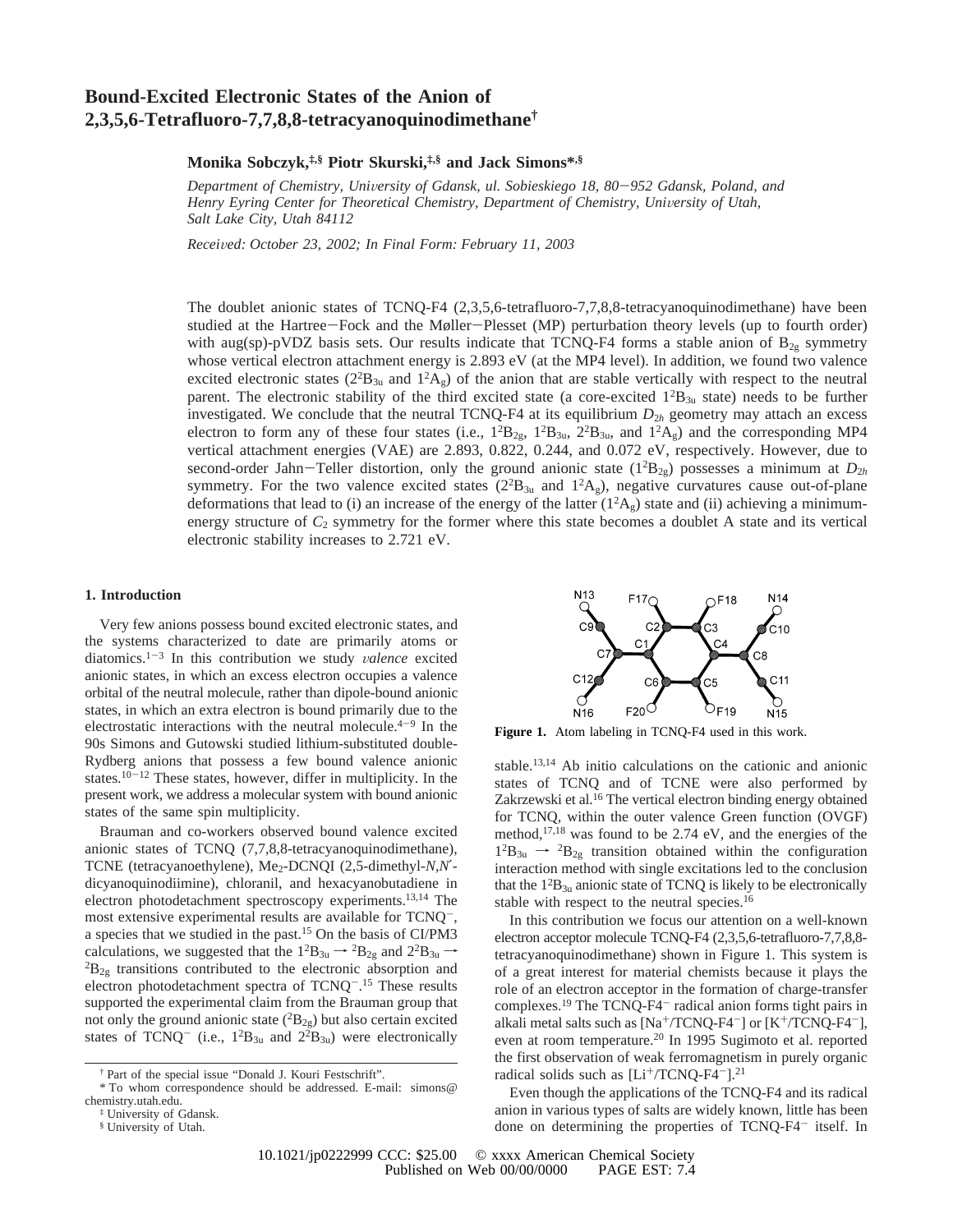# **Bound-Excited Electronic States of the Anion of 2,3,5,6-Tetrafluoro-7,7,8,8-tetracyanoquinodimethane†**

## **Monika Sobczyk,‡,§ Piotr Skurski,‡,§ and Jack Simons\*,§**

*Department of Chemistry, Uni*V*ersity of Gdansk, ul. Sobieskiego 18, 80*-*952 Gdansk, Poland, and* Henry Eyring Center for Theoretical Chemistry, Department of Chemistry, University of Utah, *Salt Lake City, Utah 84112*

*Recei*V*ed: October 23, 2002; In Final Form: February 11, 2003*

The doublet anionic states of TCNQ-F4 (2,3,5,6-tetrafluoro-7,7,8,8-tetracyanoquinodimethane) have been studied at the Hartree-Fock and the Møller-Plesset (MP) perturbation theory levels (up to fourth order) with aug(sp)-pVDZ basis sets. Our results indicate that TCNQ-F4 forms a stable anion of  $B_{2g}$  symmetry whose vertical electron attachment energy is 2.893 eV (at the MP4 level). In addition, we found two valence excited electronic states ( $2^{2}B_{3u}$  and  $1^{2}A_{g}$ ) of the anion that are stable vertically with respect to the neutral parent. The electronic stability of the third excited state (a core-excited  $1^{2}B_{3u}$  state) needs to be further investigated. We conclude that the neutral TCNQ-F4 at its equilibrium  $D_{2h}$  geometry may attach an excess electron to form any of these four states (i.e.,  $1^2B_{2g}$ ,  $1^2B_{3u}$ ,  $2^2B_{3u}$ , and  $1^2A_g$ ) and the corresponding MP4 vertical attachment energies (VAE) are 2.893, 0.822, 0.244, and 0.072 eV, respectively. However, due to second-order Jahn-Teller distortion, only the ground anionic state  $(1^{2}B_{2g})$  possesses a minimum at  $D_{2h}$ <br>symmetry. For the two valence excited states  $(2^{2}B_{2g})$  negative curvatures cause out-of-plane symmetry. For the two valence excited states  $(2^{2}B_{3u}$  and  $1^{2}A_{g}$ ), negative curvatures cause out-of-plane deformations that lead to (i) an increase of the energy of the latter  $(1^2A_g)$  state and (ii) achieving a minimumenergy structure of  $C_2$  symmetry for the former where this state becomes a doublet A state and its vertical electronic stability increases to 2.721 eV.

#### **1. Introduction**

Very few anions possess bound excited electronic states, and the systems characterized to date are primarily atoms or diatomics.<sup>1-3</sup> In this contribution we study *valence* excited anionic states, in which an excess electron occupies a valence orbital of the neutral molecule, rather than dipole-bound anionic states, in which an extra electron is bound primarily due to the electrostatic interactions with the neutral molecule. $4-9$  In the 90s Simons and Gutowski studied lithium-substituted double-Rydberg anions that possess a few bound valence anionic states.<sup>10-12</sup> These states, however, differ in multiplicity. In the present work, we address a molecular system with bound anionic states of the same spin multiplicity.

Brauman and co-workers observed bound valence excited anionic states of TCNQ (7,7,8,8-tetracyanoquinodimethane), TCNE (tetracyanoethylene), Me<sub>2</sub>-DCNQI (2,5-dimethyl-*N,N'*dicyanoquinodiimine), chloranil, and hexacyanobutadiene in electron photodetachment spectroscopy experiments.13,14 The most extensive experimental results are available for TCNQ-, a species that we studied in the past.15 On the basis of CI/PM3 calculations, we suggested that the  $1^{2}B_{3u} \rightarrow 2B_{2g}$  and  $2^{2}B_{3u} \rightarrow$  ${}^{2}B_{2g}$  transitions contributed to the electronic absorption and electron photodetachment spectra of TCNQ-. <sup>15</sup> These results supported the experimental claim from the Brauman group that not only the ground anionic state  $(^{2}B_{2g})$  but also certain excited states of TCNQ<sup>-</sup> (i.e.,  $1^2B_{3u}$  and  $2^2B_{3u}$ ) were electronically



**Figure 1.** Atom labeling in TCNQ-F4 used in this work.

stable.13,14 Ab initio calculations on the cationic and anionic states of TCNQ and of TCNE were also performed by Zakrzewski et al.<sup>16</sup> The vertical electron binding energy obtained for TCNQ, within the outer valence Green function (OVGF) method,  $17,18$  was found to be 2.74 eV, and the energies of the  $1^{2}B_{3u} \rightarrow 2B_{2g}$  transition obtained within the configuration interaction method with single excitations led to the conclusion that the  $1^{2}B_{3u}$  anionic state of TCNQ is likely to be electronically stable with respect to the neutral species.<sup>16</sup>

In this contribution we focus our attention on a well-known electron acceptor molecule TCNQ-F4 (2,3,5,6-tetrafluoro-7,7,8,8 tetracyanoquinodimethane) shown in Figure 1. This system is of a great interest for material chemists because it plays the role of an electron acceptor in the formation of charge-transfer complexes.<sup>19</sup> The TCNQ-F4<sup>-</sup> radical anion forms tight pairs in alkali metal salts such as  $[Na^{+}/TCNQ-F4^{-}]$  or  $[K^{+}/TCNQ-F4^{-}]$ , even at room temperature.20 In 1995 Sugimoto et al. reported the first observation of weak ferromagnetism in purely organic radical solids such as  $[Li+/TCNQ-F4^{-}]$ .<sup>21</sup>

Even though the applications of the TCNQ-F4 and its radical anion in various types of salts are widely known, little has been done on determining the properties of TCNQ-F4<sup>-</sup> itself. In

<sup>†</sup> Part of the special issue "Donald J. Kouri Festschrift".

<sup>\*</sup> To whom correspondence should be addressed. E-mail: simons@ chemistry.utah.edu.

<sup>‡</sup> University of Gdansk.

<sup>§</sup> University of Utah.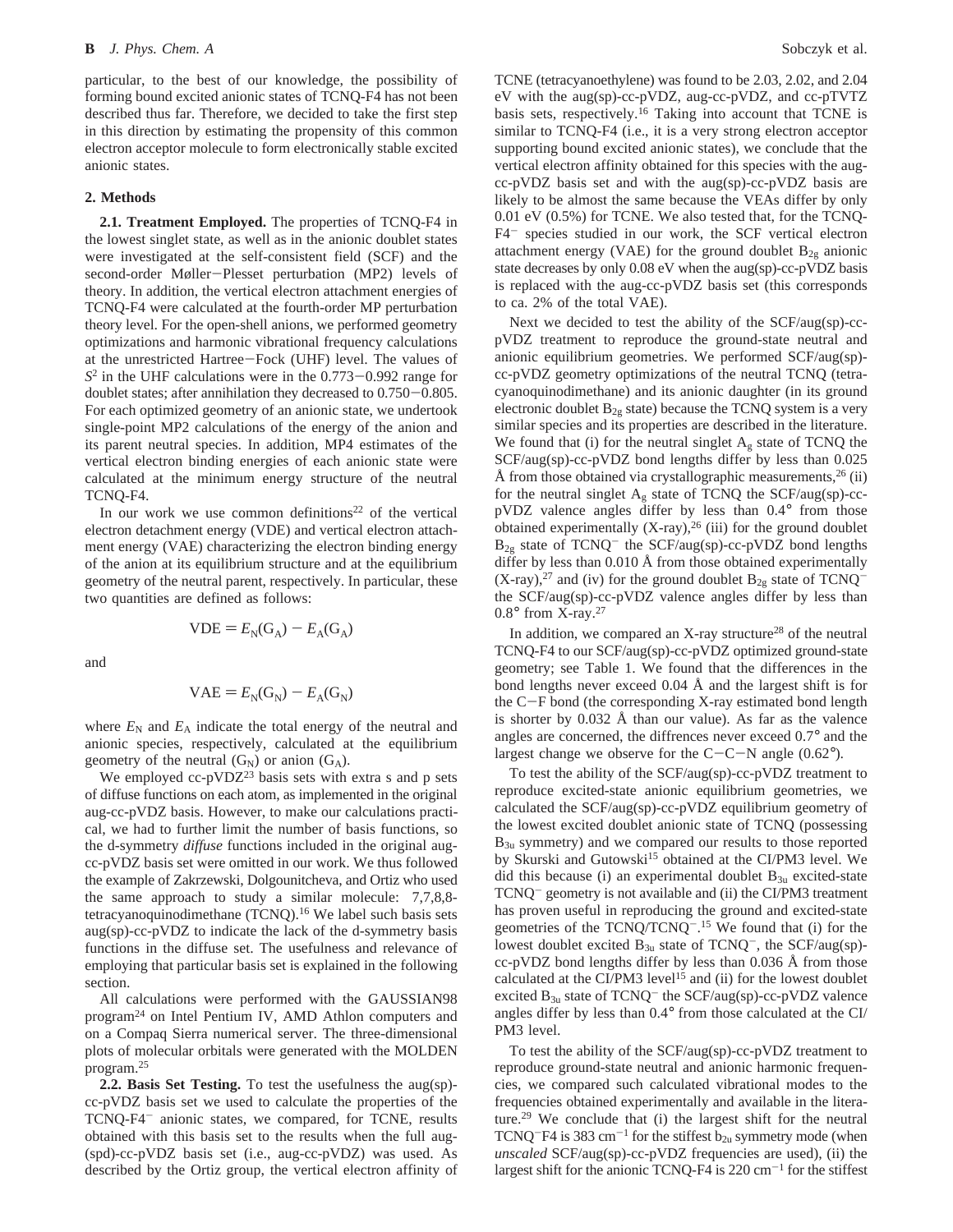particular, to the best of our knowledge, the possibility of forming bound excited anionic states of TCNQ-F4 has not been described thus far. Therefore, we decided to take the first step in this direction by estimating the propensity of this common electron acceptor molecule to form electronically stable excited anionic states.

### **2. Methods**

**2.1. Treatment Employed.** The properties of TCNQ-F4 in the lowest singlet state, as well as in the anionic doublet states were investigated at the self-consistent field (SCF) and the second-order Møller-Plesset perturbation (MP2) levels of theory. In addition, the vertical electron attachment energies of TCNQ-F4 were calculated at the fourth-order MP perturbation theory level. For the open-shell anions, we performed geometry optimizations and harmonic vibrational frequency calculations at the unrestricted Hartree-Fock (UHF) level. The values of *<sup>S</sup>*<sup>2</sup> in the UHF calculations were in the 0.773-0.992 range for doublet states; after annihilation they decreased to 0.750-0.805. For each optimized geometry of an anionic state, we undertook single-point MP2 calculations of the energy of the anion and its parent neutral species. In addition, MP4 estimates of the vertical electron binding energies of each anionic state were calculated at the minimum energy structure of the neutral TCNQ-F4.

In our work we use common definitions<sup>22</sup> of the vertical electron detachment energy (VDE) and vertical electron attachment energy (VAE) characterizing the electron binding energy of the anion at its equilibrium structure and at the equilibrium geometry of the neutral parent, respectively. In particular, these two quantities are defined as follows:

$$
VDE = EN(GA) - EA(GA)
$$

and

$$
VAE = EN(GN) - EA(GN)
$$

where  $E_N$  and  $E_A$  indicate the total energy of the neutral and anionic species, respectively, calculated at the equilibrium geometry of the neutral  $(G_N)$  or anion  $(G_A)$ .

We employed cc-pVDZ<sup>23</sup> basis sets with extra s and p sets of diffuse functions on each atom, as implemented in the original aug-cc-pVDZ basis. However, to make our calculations practical, we had to further limit the number of basis functions, so the d-symmetry *diffuse* functions included in the original augcc-pVDZ basis set were omitted in our work. We thus followed the example of Zakrzewski, Dolgounitcheva, and Ortiz who used the same approach to study a similar molecule: 7,7,8,8 tetracyanoquinodimethane (TCNQ).<sup>16</sup> We label such basis sets aug(sp)-cc-pVDZ to indicate the lack of the d-symmetry basis functions in the diffuse set. The usefulness and relevance of employing that particular basis set is explained in the following section.

All calculations were performed with the GAUSSIAN98 program<sup>24</sup> on Intel Pentium IV, AMD Athlon computers and on a Compaq Sierra numerical server. The three-dimensional plots of molecular orbitals were generated with the MOLDEN program.25

**2.2. Basis Set Testing.** To test the usefulness the aug(sp) cc-pVDZ basis set we used to calculate the properties of the TCNQ-F4- anionic states, we compared, for TCNE, results obtained with this basis set to the results when the full aug- (spd)-cc-pVDZ basis set (i.e., aug-cc-pVDZ) was used. As described by the Ortiz group, the vertical electron affinity of TCNE (tetracyanoethylene) was found to be 2.03, 2.02, and 2.04 eV with the aug(sp)-cc-pVDZ, aug-cc-pVDZ, and cc-pTVTZ basis sets, respectively.16 Taking into account that TCNE is similar to TCNQ-F4 (i.e., it is a very strong electron acceptor supporting bound excited anionic states), we conclude that the vertical electron affinity obtained for this species with the augcc-pVDZ basis set and with the aug(sp)-cc-pVDZ basis are likely to be almost the same because the VEAs differ by only 0.01 eV (0.5%) for TCNE. We also tested that, for the TCNQ-F4- species studied in our work, the SCF vertical electron attachment energy (VAE) for the ground doublet  $B_{2g}$  anionic state decreases by only 0.08 eV when the aug(sp)-cc-pVDZ basis is replaced with the aug-cc-pVDZ basis set (this corresponds to ca. 2% of the total VAE).

Next we decided to test the ability of the SCF/aug(sp)-ccpVDZ treatment to reproduce the ground-state neutral and anionic equilibrium geometries. We performed SCF/aug(sp) cc-pVDZ geometry optimizations of the neutral TCNQ (tetracyanoquinodimethane) and its anionic daughter (in its ground electronic doublet  $B_{2g}$  state) because the TCNQ system is a very similar species and its properties are described in the literature. We found that (i) for the neutral singlet  $A_g$  state of TCNQ the SCF/aug(sp)-cc-pVDZ bond lengths differ by less than 0.025 Å from those obtained via crystallographic measurements,  $26$  (ii) for the neutral singlet  $A_g$  state of TCNQ the SCF/aug(sp)-ccpVDZ valence angles differ by less than 0.4° from those obtained experimentally  $(X-ray)$ ,<sup>26</sup> (iii) for the ground doublet  $B_{2g}$  state of TCNQ<sup>-</sup> the SCF/aug(sp)-cc-pVDZ bond lengths differ by less than 0.010 Å from those obtained experimentally  $(X-ray)$ ,<sup>27</sup> and (iv) for the ground doublet  $B_{2g}$  state of TCNQ<sup>-</sup> the SCF/aug(sp)-cc-pVDZ valence angles differ by less than 0.8° from X-ray.27

In addition, we compared an  $X$ -ray structure<sup>28</sup> of the neutral TCNQ-F4 to our SCF/aug(sp)-cc-pVDZ optimized ground-state geometry; see Table 1. We found that the differences in the bond lengths never exceed 0.04 Å and the largest shift is for the C-F bond (the corresponding X-ray estimated bond length is shorter by 0.032 Å than our value). As far as the valence angles are concerned, the diffrences never exceed 0.7° and the largest change we observe for the  $C-C-N$  angle (0.62°).

To test the ability of the SCF/aug(sp)-cc-pVDZ treatment to reproduce excited-state anionic equilibrium geometries, we calculated the SCF/aug(sp)-cc-pVDZ equilibrium geometry of the lowest excited doublet anionic state of TCNQ (possessing  $B_{3u}$  symmetry) and we compared our results to those reported by Skurski and Gutowski<sup>15</sup> obtained at the CI/PM3 level. We did this because (i) an experimental doublet  $B_{3u}$  excited-state TCNQ- geometry is not available and (ii) the CI/PM3 treatment has proven useful in reproducing the ground and excited-state geometries of the  $TCNQ/TCNQ^{-15}$  We found that (i) for the lowest doublet excited  $B_{3u}$  state of TCNQ<sup>-</sup>, the SCF/aug(sp)cc-pVDZ bond lengths differ by less than 0.036 Å from those calculated at the CI/PM3 level<sup>15</sup> and (ii) for the lowest doublet excited  $B_{3u}$  state of TCNQ<sup>-</sup> the SCF/aug(sp)-cc-pVDZ valence angles differ by less than 0.4° from those calculated at the CI/ PM3 level.

To test the ability of the SCF/aug(sp)-cc-pVDZ treatment to reproduce ground-state neutral and anionic harmonic frequencies, we compared such calculated vibrational modes to the frequencies obtained experimentally and available in the literature.29 We conclude that (i) the largest shift for the neutral TCNQ<sup>-</sup>F4 is 383 cm<sup>-1</sup> for the stiffest  $b_{2u}$  symmetry mode (when *unscaled* SCF/aug(sp)-cc-pVDZ frequencies are used), (ii) the largest shift for the anionic TCNQ-F4 is  $220 \text{ cm}^{-1}$  for the stiffest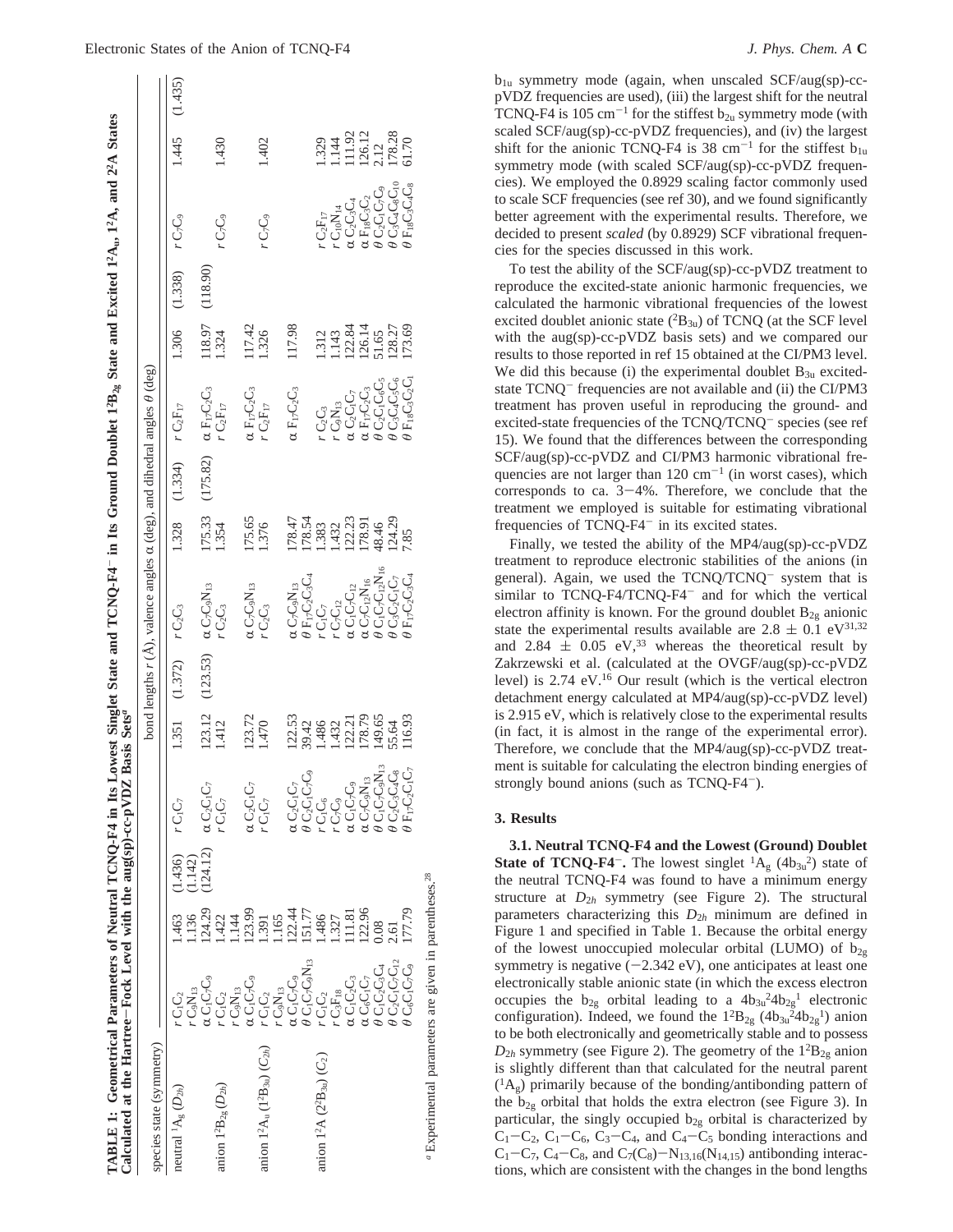| TABLE 1: Geometrical Parameters of Neutral TCNQ-F4 in Its Lowest Singlet State and TCNQ-F4 = in Its Ground Doublet $1^2B_{26}$ State and Excited $1^2A_{10}$ , $1^2A$ , and $2^2A$ States<br>Calculated at the Hartree-Fock Level with the aug(sp)-cc-pVDZ Basis Sets <sup>a</sup> |                                                                                                                  |                |                   |                                                                       |                            |                     |                                                                                                                                                                      |                                                                    |                            |                                     |                  |          |                                                |                                                                                     |         |
|------------------------------------------------------------------------------------------------------------------------------------------------------------------------------------------------------------------------------------------------------------------------------------|------------------------------------------------------------------------------------------------------------------|----------------|-------------------|-----------------------------------------------------------------------|----------------------------|---------------------|----------------------------------------------------------------------------------------------------------------------------------------------------------------------|--------------------------------------------------------------------|----------------------------|-------------------------------------|------------------|----------|------------------------------------------------|-------------------------------------------------------------------------------------|---------|
| species state (symmetry)                                                                                                                                                                                                                                                           |                                                                                                                  |                |                   |                                                                       |                            |                     | bond lengths $r(A)$ , valence angles $\alpha$ (deg), and dihedral angles $\theta$ (deg)                                                                              |                                                                    |                            |                                     |                  |          |                                                |                                                                                     |         |
| neutral ${}^{1}A_{g}$ $(D_{2h})$                                                                                                                                                                                                                                                   | $r\,\mathrm{C}_1\mathrm{C}_2$                                                                                    |                | $.463$ $(1.436)$  | rC <sub>I</sub> C <sub>7</sub>                                        | 1.351                      | $(1.372)$ $rC_2C_3$ |                                                                                                                                                                      |                                                                    | 1.328 (1.334) $rC_2F_{17}$ |                                     | 1.306            | (1.338)  | r C <sub>7</sub> C,                            | 1.445                                                                               | (1.435) |
|                                                                                                                                                                                                                                                                                    | $\chi C_1 C_2 C_9$<br>$r \text{ C}_9 \text{N}_{13}$                                                              | .24.29<br>.136 | 124.12)<br>1.142) | $\alpha C_2 C_1 C_7$                                                  | 123.12                     | (123.53)            | $\alpha C_7 C_9 N_{13}$                                                                                                                                              | 175.33                                                             | (175.82)                   | $\alpha F_1$ <sub>7</sub> $C_2C_3$  | 118.97           | (118.90) |                                                |                                                                                     |         |
| anion $1^2B_{2g} (D_{2h})$                                                                                                                                                                                                                                                         | $rC_1C_2$                                                                                                        | .422           |                   | $rC_1C_7$                                                             | 1.412                      |                     | $rC_2C_3$                                                                                                                                                            | 1.354                                                              |                            | $r \text{C}_2 \text{F}_{17}$        | 1.324            |          | r C7C9                                         | 1.430                                                                               |         |
|                                                                                                                                                                                                                                                                                    | $r \text{ C}_9 \text{N}_{13}$                                                                                    | .144           |                   |                                                                       |                            |                     |                                                                                                                                                                      |                                                                    |                            |                                     |                  |          |                                                |                                                                                     |         |
|                                                                                                                                                                                                                                                                                    | $\alpha C_1 C_2 C_9$                                                                                             | 123.99         |                   | $\alpha C_2 C_1 C_7$                                                  | 123.72                     |                     | $\alpha C_7 C_9 N_{13}$                                                                                                                                              | 175.65                                                             |                            | $\alpha F_1$ <sub>7</sub> $C_2C_3$  | 117.42           |          |                                                |                                                                                     |         |
| anion $1^2A_u(1^2B_{3u})(C_{2h})$                                                                                                                                                                                                                                                  | $rC_1C_2$                                                                                                        | .391           |                   | $rC_1C_7$                                                             | 1.470                      |                     | r C2C3                                                                                                                                                               | 1.376                                                              |                            | $rC_2F_{17}$                        | 1.326            |          | r C7G                                          | 1.402                                                                               |         |
|                                                                                                                                                                                                                                                                                    | $C_9N_{13}$                                                                                                      | .165           |                   |                                                                       |                            |                     |                                                                                                                                                                      |                                                                    |                            |                                     |                  |          |                                                |                                                                                     |         |
|                                                                                                                                                                                                                                                                                    |                                                                                                                  | 122.44         |                   | $\alpha$ $C_2C_1C_7$                                                  | 122.53                     |                     |                                                                                                                                                                      | 178.47                                                             |                            | $\alpha F_1 \tau C_2 C_3$           | 117.98           |          |                                                |                                                                                     |         |
|                                                                                                                                                                                                                                                                                    | α C <sub>I</sub> C <sub>7</sub> C <sub>9</sub><br>θ C <sub>I</sub> C <sub>7</sub> C <sub>9</sub> N <sub>13</sub> | 151.77         |                   | $\theta$ C <sub>2</sub> C <sub>1</sub> C <sub>7</sub> C <sub>9</sub>  | 39.42                      |                     | $\begin{array}{l} \alpha \, \text{C}_{7}\text{C}_{9}\text{N}_{13} \\ \theta \, \text{F}_{17}\text{C}_{2}\text{C}_{3}\text{C}_{4} \end{array}$                        |                                                                    |                            |                                     |                  |          |                                                |                                                                                     |         |
| anion 1 <sup>2</sup> A ( $2^{2}B_{3u}$ ) ( $C_{2}$ )                                                                                                                                                                                                                               | $rC_1C_2$                                                                                                        | .486           |                   | しっしょ                                                                  | 1.486                      |                     | C <sub>U</sub>                                                                                                                                                       | 178.54<br>1.383                                                    |                            | $C_2C_3$                            |                  |          | $rC_2F_{17}$                                   |                                                                                     |         |
|                                                                                                                                                                                                                                                                                    | $rC_3F_{18}$                                                                                                     | 1.327          |                   | r C <sub>7</sub> C <sub>9</sub>                                       | 1.432                      |                     | $C_7C_{12}$                                                                                                                                                          | .432                                                               |                            | $rC_9N_{13}$                        | 1.312            |          | $\cdot C_{10}N_{14}$                           | $\begin{array}{r} 1.329 \\ 1.144 \\ 111.92 \\ 126.12 \\ 2.12 \\ 178.28 \end{array}$ |         |
|                                                                                                                                                                                                                                                                                    | $\alpha C_1 C_2 C_3$                                                                                             | .11.81         |                   | $\alpha C_1 C_7 C_9$                                                  | 122.21<br>178.79<br>149.65 |                     | $\alpha C_1 C_7 C_{12}$                                                                                                                                              |                                                                    |                            | a C2C1C7<br>a F17C2C3<br>9 C2C1C6C5 | 122.84<br>126.14 |          | $\iota C_2C_3C_4$                              |                                                                                     |         |
|                                                                                                                                                                                                                                                                                    | $\alpha C_6 C_1 C_7$                                                                                             | 122.96         |                   | $\alpha$ C <sub>7</sub> C <sub>9</sub> N $_{13}$                      |                            |                     | $\begin{array}{l} \alpha \, \mathrm{C}_7 \mathrm{C}_1 \mathrm{2} \mathrm{N}_{16} \\ \theta \, \mathrm{C}_1 \mathrm{C}_7 \mathrm{C}_{12} \mathrm{N}_{16} \end{array}$ |                                                                    |                            |                                     |                  |          | $\alpha F_{18}C_3C_2$<br>$\theta C_2C_1C_7C_9$ |                                                                                     |         |
|                                                                                                                                                                                                                                                                                    | $\theta$ C <sub>1</sub> C <sub>2</sub> C <sub>3</sub> C <sub>4</sub>                                             | 0.08           |                   | $\theta$ C <sub>1</sub> C <sub>7</sub> C <sub>9</sub> N <sub>13</sub> |                            |                     |                                                                                                                                                                      |                                                                    |                            |                                     | 51.65<br>128.27  |          |                                                |                                                                                     |         |
|                                                                                                                                                                                                                                                                                    | $\theta$ C <sub>2</sub> C <sub>1</sub> C <sub>7</sub> C <sub>12</sub>                                            | 2.61           |                   | $\theta$ C <sub>2</sub> C <sub>3</sub> C <sub>4</sub> C <sub>8</sub>  | 55.64                      |                     | $\theta C_3 C_2 C_1 C_7$                                                                                                                                             | $\begin{array}{c} 122.23 \\ 178.91 \\ 48.46 \\ 124.29 \end{array}$ |                            | , C3C4C5C                           |                  |          | O3C4C8C10                                      |                                                                                     |         |
|                                                                                                                                                                                                                                                                                    | $C_6C_1C_7C_9$                                                                                                   | 177.79         |                   | $\theta$ F <sub>17</sub> C2C1C7                                       | 116.93                     |                     | $9 F_{17} C_2 C_3 C_4$                                                                                                                                               | 7.85                                                               |                            | $F_{18}C_3C_2C_1$                   | 173.69           |          | $9 F_{18} C_3 C_4 C_8$                         | 61.70                                                                               |         |
| <sup>a</sup> Experimental parameters are given in parentheses. <sup>28</sup>                                                                                                                                                                                                       |                                                                                                                  |                |                   |                                                                       |                            |                     |                                                                                                                                                                      |                                                                    |                            |                                     |                  |          |                                                |                                                                                     |         |

 $b_{1u}$  symmetry mode (again, when unscaled SCF/aug(sp)-ccpVDZ frequencies are used), (iii) the largest shift for the neutral TCNQ-F4 is 105 cm<sup>-1</sup> for the stiffest  $b_{2u}$  symmetry mode (with scaled SCF/aug(sp)-cc-pVDZ frequencies), and (iv) the largest shift for the anionic TCNQ-F4 is 38 cm<sup>-1</sup> for the stiffest  $b_{1u}$ symmetry mode (with scaled SCF/aug(sp)-cc-pVDZ frequencies). We employed the 0.8929 scaling factor commonly used to scale SCF frequencies (see ref 30), and we found significantly better agreement with the experimental results. Therefore, we decided to present *scaled* (by 0.8929) SCF vibrational frequencies for the species discussed in this work.

To test the ability of the SCF/aug(sp)-cc-pVDZ treatment to reproduce the excited-state anionic harmonic frequencies, we calculated the harmonic vibrational frequencies of the lowest excited doublet anionic state  $(^{2}B_{3u})$  of TCNQ (at the SCF level with the aug(sp)-cc-pVDZ basis sets) and we compared our results to those reported in ref 15 obtained at the CI/PM3 level. We did this because (i) the experimental doublet  $B_{3u}$  excitedstate  $TCNO^-$  frequencies are not available and (ii) the CI/PM3 treatment has proven useful in reproducing the ground- and excited-state frequencies of the TCNQ/TCNQ<sup>-</sup> species (see ref 15). We found that the differences between the corresponding SCF/aug(sp)-cc-pVDZ and CI/PM3 harmonic vibrational frequencies are not larger than  $120 \text{ cm}^{-1}$  (in worst cases), which corresponds to ca.  $3-4\%$ . Therefore, we conclude that the treatment we employed is suitable for estimating vibrational frequencies of TCNQ-F4<sup>-</sup> in its excited states.

Finally, we tested the ability of the MP4/aug(sp)-cc-pVDZ treatment to reproduce electronic stabilities of the anions (in general). Again, we used the TCNQ/TCNQ- system that is similar to TCNQ-F4/TCNQ-F4<sup>-</sup> and for which the vertical electron affinity is known. For the ground doublet  $B_{2g}$  anionic state the experimental results available are  $2.8 \pm 0.1 \text{ eV}^{31,32}$ and 2.84  $\pm$  0.05 eV,<sup>33</sup> whereas the theoretical result by Zakrzewski et al. (calculated at the OVGF/aug(sp)-cc-pVDZ level) is 2.74 eV.16 Our result (which is the vertical electron detachment energy calculated at MP4/aug(sp)-cc-pVDZ level) is 2.915 eV, which is relatively close to the experimental results (in fact, it is almost in the range of the experimental error). Therefore, we conclude that the MP4/aug(sp)-cc-pVDZ treatment is suitable for calculating the electron binding energies of strongly bound anions (such as TCNQ-F4<sup>-</sup>).

## **3. Results**

**3.1. Neutral TCNQ-F4 and the Lowest (Ground) Doublet State of TCNQ-F4<sup>-</sup>**. The lowest singlet  ${}^{1}A_{g}$  (4b<sub>3u</sub><sup>2</sup>) state of the neutral TCNQ-F4 was found to have a minimum energy structure at  $D_{2h}$  symmetry (see Figure 2). The structural parameters characterizing this *D*<sup>2</sup>*<sup>h</sup>* minimum are defined in Figure 1 and specified in Table 1. Because the orbital energy of the lowest unoccupied molecular orbital (LUMO) of  $b_{2g}$ symmetry is negative  $(-2.342 \text{ eV})$ , one anticipates at least one electronically stable anionic state (in which the excess electron occupies the  $b_{2g}$  orbital leading to a  $4b_{3u}^2 4b_{2g}^1$  electronic configuration). Indeed, we found the  $1^{2}B_{2g}$  (4b<sub>3u</sub><sup>2</sup>4b<sub>2g</sub><sup>1</sup>) anion to be both electronically and geometrically stable and to possess  $D_{2h}$  symmetry (see Figure 2). The geometry of the  $1^{2}B_{2g}$  anion is slightly different than that calculated for the neutral parent  $({}^{1}A_{g})$  primarily because of the bonding/antibonding pattern of the  $b_{2g}$  orbital that holds the extra electron (see Figure 3). In particular, the singly occupied  $b_{2g}$  orbital is characterized by  $C_1-C_2$ ,  $C_1-C_6$ ,  $C_3-C_4$ , and  $C_4-C_5$  bonding interactions and  $C_1 - C_7$ ,  $C_4 - C_8$ , and  $C_7(C_8) - N_{13,16}(N_{14,15})$  antibonding interactions, which are consistent with the changes in the bond lengths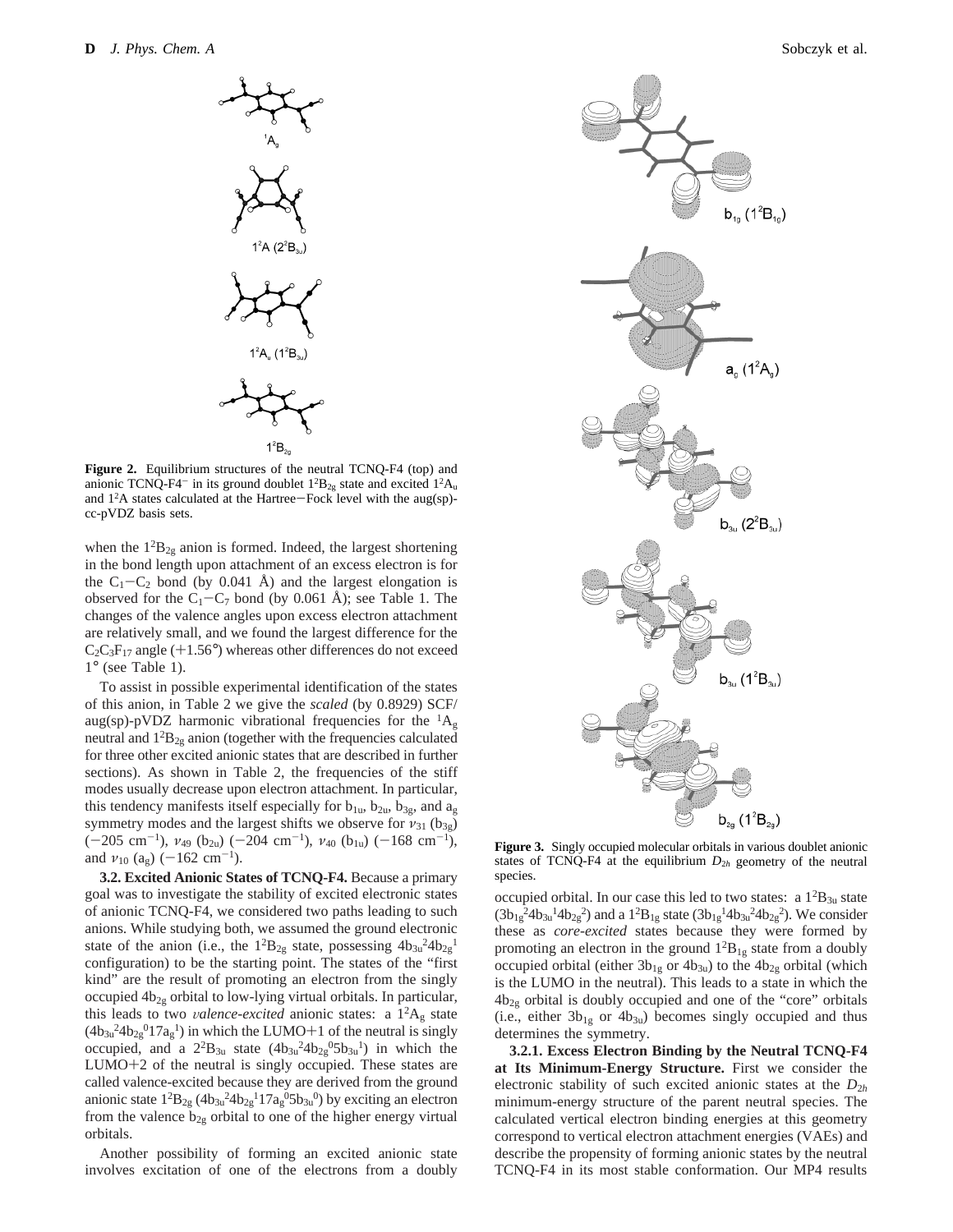

**Figure 2.** Equilibrium structures of the neutral TCNQ-F4 (top) and anionic TCNQ-F4<sup>-</sup> in its ground doublet  $1^{2}B_{2g}$  state and excited  $1^{2}A_{u}$ and 1<sup>2</sup>A states calculated at the Hartree-Fock level with the aug(sp)-<br>cc-nVDZ hasis sets cc-pVDZ basis sets.

when the  $1^{2}B_{2g}$  anion is formed. Indeed, the largest shortening in the bond length upon attachment of an excess electron is for the  $C_1-C_2$  bond (by 0.041 Å) and the largest elongation is observed for the  $C_1 - C_7$  bond (by 0.061 Å); see Table 1. The changes of the valence angles upon excess electron attachment are relatively small, and we found the largest difference for the  $C_2C_3F_{17}$  angle (+1.56°) whereas other differences do not exceed 1° (see Table 1).

To assist in possible experimental identification of the states of this anion, in Table 2 we give the *scaled* (by 0.8929) SCF/ aug(sp)-pVDZ harmonic vibrational frequencies for the  ${}^{1}A_{g}$ neutral and  $1^{2}B_{2g}$  anion (together with the frequencies calculated for three other excited anionic states that are described in further sections). As shown in Table 2, the frequencies of the stiff modes usually decrease upon electron attachment. In particular, this tendency manifests itself especially for  $b_{1u}$ ,  $b_{2u}$ ,  $b_{3g}$ , and  $a_g$ symmetry modes and the largest shifts we observe for  $v_{31}$  ( $b_{3g}$ )  $(-205 \text{ cm}^{-1})$ ,  $v_{49}$  (b<sub>2u</sub>) (-204 cm<sup>-1</sup>),  $v_{40}$  (b<sub>1u</sub>) (-168 cm<sup>-1</sup>), and  $v_{10}$  (a<sub>g</sub>) (-162 cm<sup>-1</sup>).

**3.2. Excited Anionic States of TCNQ-F4.** Because a primary goal was to investigate the stability of excited electronic states of anionic TCNQ-F4, we considered two paths leading to such anions. While studying both, we assumed the ground electronic state of the anion (i.e., the  $1^{2}B_{2g}$  state, possessing  $4b_{3u}^{2}4b_{2g}^{1}$ configuration) to be the starting point. The states of the "first kind" are the result of promoting an electron from the singly occupied  $4b_{2g}$  orbital to low-lying virtual orbitals. In particular, this leads to two <sup>V</sup>*alence-excited* anionic states: a 12Ag state  $(4b_{3u}^24b_{2g}^2017a_g^1)$  in which the LUMO+1 of the neutral is singly<br>occupied and a 2<sup>2</sup>B<sub>2</sub>, state  $(4b_{2u}^24b_{2u}^05b_{2u}^1)$  in which the occupied, and a  $2^{2}B_{3u}$  state  $(4b_{3u}^{2}4b_{2g}^{0}5b_{3u}^{1})$  in which the LUMO+2 of the neutral is singly occupied. These states are called valence-excited because they are derived from the ground anionic state  $1^2B_{2g}$  ( $4b_{3u}^2 4b_{2g}^1 17a_g^0 5b_{3u}^0$ ) by exciting an electron from the valence  $b_{2g}$  orbital to one of the higher energy virtual orbitals.

Another possibility of forming an excited anionic state involves excitation of one of the electrons from a doubly



**Figure 3.** Singly occupied molecular orbitals in various doublet anionic states of TCNQ-F4 at the equilibrium  $D_{2h}$  geometry of the neutral species.

occupied orbital. In our case this led to two states: a  $1^{2}B_{3u}$  state  $(3b_{1g}^{2}4b_{3u}^{1}4b_{2g}^{2})$  and a  $1^{2}B_{1g}$  state  $(3b_{1g}^{1}4b_{3u}^{2}4b_{2g}^{2})$ . We consider these as *core-excited* states because they were formed by promoting an electron in the ground  $1^{2}B_{1g}$  state from a doubly occupied orbital (either  $3b_{1g}$  or  $4b_{3u}$ ) to the  $4b_{2g}$  orbital (which is the LUMO in the neutral). This leads to a state in which the  $4b_{2g}$  orbital is doubly occupied and one of the "core" orbitals (i.e., either  $3b_{1g}$  or  $4b_{3u}$ ) becomes singly occupied and thus determines the symmetry.

**3.2.1. Excess Electron Binding by the Neutral TCNQ-F4 at Its Minimum-Energy Structure.** First we consider the electronic stability of such excited anionic states at the *D*<sup>2</sup>*<sup>h</sup>* minimum-energy structure of the parent neutral species. The calculated vertical electron binding energies at this geometry correspond to vertical electron attachment energies (VAEs) and describe the propensity of forming anionic states by the neutral TCNQ-F4 in its most stable conformation. Our MP4 results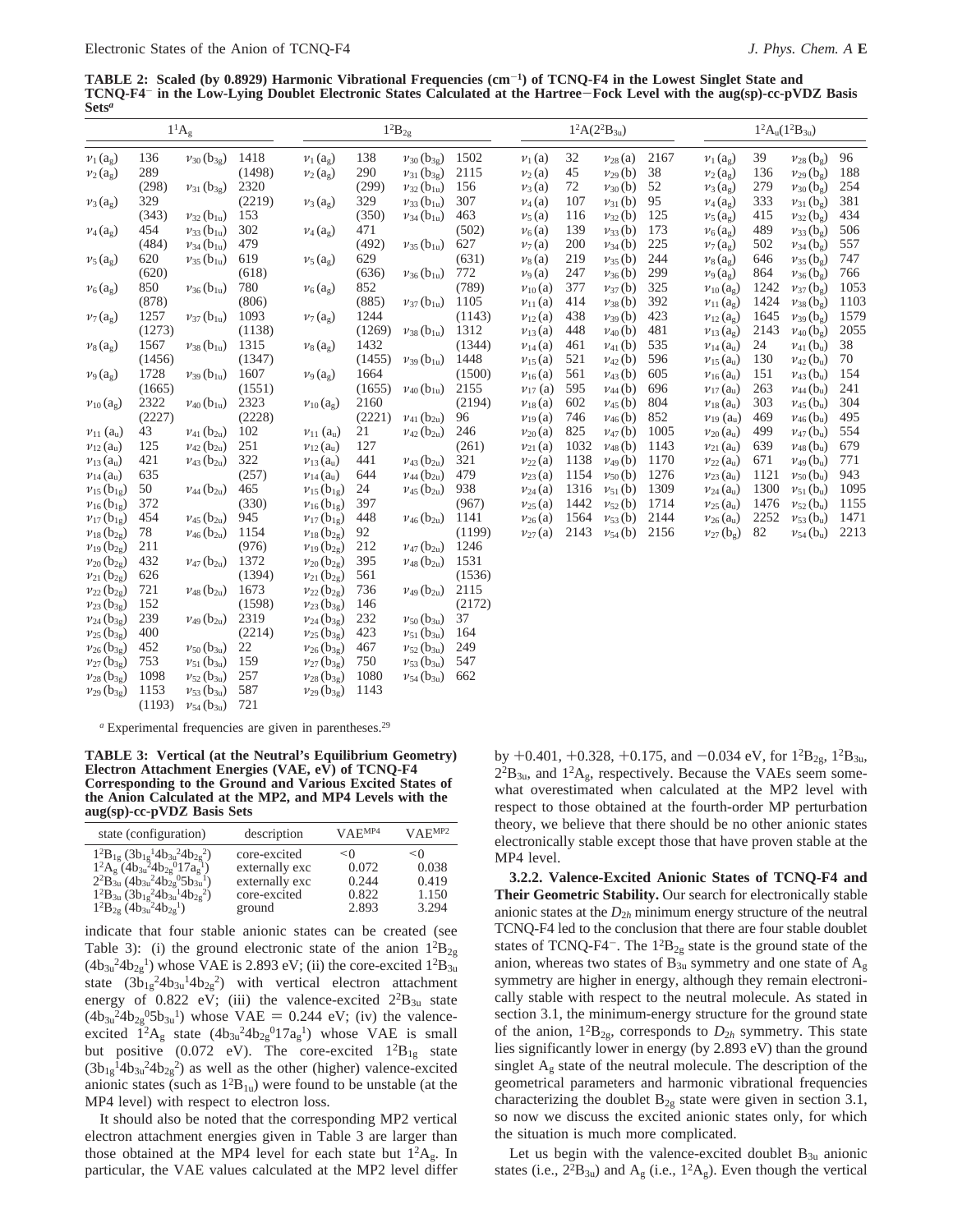**TABLE 2: Scaled (by 0.8929) Harmonic Vibrational Frequencies (cm**-**1) of TCNQ-F4 in the Lowest Singlet State and TCNQ-F4**- **in the Low-Lying Doublet Electronic States Calculated at the Hartree**-**Fock Level with the aug(sp)-cc-pVDZ Basis Sets***<sup>a</sup>*

|                              |        | $1^1A_g$                      |        |                             |        | $1^2\mathbf{B}_{2\text{g}}$   |        |                                   | $1^2A(2^2B_{3u})$ |                                   |      |                            |      | $1^2A_u(1^2B_{3u})$          |      |
|------------------------------|--------|-------------------------------|--------|-----------------------------|--------|-------------------------------|--------|-----------------------------------|-------------------|-----------------------------------|------|----------------------------|------|------------------------------|------|
| $v_1(a_g)$                   | 136    | $v_{30}$ (b <sub>3g</sub> )   | 1418   | $v_1(a_g)$                  | 138    | $v_{30}$ (b <sub>3g</sub> )   | 1502   | $\nu_1(a)$                        | 32                | $\nu_{28}\left(\mathrm{a}\right)$ | 2167 | $v_1(a_g)$                 | 39   | $v_{28}$ (be)                | 96   |
| $v_2(a_g)$                   | 289    |                               | (1498) | $v_2(a_g)$                  | 290    | $v_{31}$ (b <sub>3g</sub> )   | 2115   | $v_2(a)$                          | 45                | $v_{29}$ (b)                      | 38   | $v_2(a_g)$                 | 136  | $v_{29}$ (b <sub>g</sub> )   | 188  |
|                              | (298)  | $v_{31}$ (b <sub>3g</sub> )   | 2320   |                             | (299)  | $v_{32}$ (b <sub>1u</sub> )   | 156    | $v_3(a)$                          | 72                | $v_{30}$ (b)                      | 52   | $v_3(a_g)$                 | 279  | $v_{30}$ (bg)                | 254  |
| $v_3(a_g)$                   | 329    |                               | (2219) | $v_3(a_g)$                  | 329    | $v_{33}$ (b <sub>1u</sub> )   | 307    | $\nu_4(a)$                        | 107               | $v_{31}$ (b)                      | 95   | $v_4(a_g)$                 | 333  | $v_{31}$ (bg)                | 381  |
|                              | (343)  | $v_{32}$ (b <sub>1u</sub> )   | 153    |                             | (350)  | $v_{34}$ (b <sub>1u</sub> )   | 463    | $v_5(a)$                          | 116               | $\nu_{32}$ (b)                    | 125  | $v_5(a_2)$                 | 415  | $v_{32}$ (bg)                | 434  |
| $v_4(a_g)$                   | 454    | $v_{33}$ (b <sub>1u</sub> )   | 302    | $v_4(a_g)$                  | 471    |                               | (502)  | $\nu_6(a)$                        | 139               | $v_{33}$ (b)                      | 173  | $v_6(a_g)$                 | 489  | $v_{33}$ (bg)                | 506  |
|                              | (484)  | $v_{34}$ (b <sub>1u</sub> )   | 479    |                             | (492)  | $v_{35}$ (b <sub>1u</sub> )   | 627    | $\nu_7(a)$                        | 200               | $v_{34}$ (b)                      | 225  | $v_7(a_2)$                 | 502  | $v_{34}$ (b <sub>g</sub> )   | 557  |
| $v_5(a_g)$                   | 620    | $v_{35}$ (b <sub>1u</sub> )   | 619    | $v_5(a_g)$                  | 629    |                               | (631)  | $\nu_8(a)$                        | 219               | $v_{35}$ (b)                      | 244  | $v_8(a_9)$                 | 646  | $v_{35}$ (b <sub>g</sub> )   | 747  |
|                              | (620)  |                               | (618)  |                             | (636)  | $\nu_{36}$ (b <sub>1u</sub> ) | 772    | $\nu_9(a)$                        | 247               | $v_{36}$ (b)                      | 299  | $v_9(a_g)$                 | 864  | $v_{36}$ (bg)                | 766  |
| $v_6(a_g)$                   | 850    | $v_{36}$ (b <sub>1u</sub> )   | 780    | $v_6(a_g)$                  | 852    |                               | (789)  | $\nu_{10}\left(\mathrm{a}\right)$ | 377               | $v_{37}$ (b)                      | 325  | $v_{10}(a_{\rm g})$        | 1242 | $v_{37}$ (b <sub>g</sub> )   | 1053 |
|                              | (878)  |                               | (806)  |                             | (885)  | $v_{37}$ (b <sub>1u</sub> )   | 1105   | $v_{11}$ (a)                      | 414               | $v_{38}$ (b)                      | 392  | $v_{11}(a_{g})$            | 1424 | $v_{38}$ (b <sub>g</sub> )   | 1103 |
| $v_7(a_g)$                   | 1257   | $v_{37}$ (b <sub>1u</sub> )   | 1093   | $v_7(a_g)$                  | 1244   |                               | (1143) | $v_{12}$ (a)                      | 438               | $v_{39}$ (b)                      | 423  | $v_{12}(a_{9})$            | 1645 | $v_{39}$ (bg)                | 1579 |
|                              | (1273) |                               | (1138) |                             | (1269) | $v_{38}$ (b <sub>1u</sub> )   | 1312   | $v_{13}$ (a)                      | 448               | $\nu_{40}$ (b)                    | 481  | $v_{13}$ (a <sub>g</sub> ) | 2143 | $v_{40}$ (b <sub>g</sub> )   | 2055 |
| $v_8$ (a <sub>g</sub> )      | 1567   | $v_{38}$ (b <sub>1u</sub> )   | 1315   | $v_8(a_g)$                  | 1432   |                               | (1344) | $v_{14}$ (a)                      | 461               | $v_{41}$ (b)                      | 535  | $v_{14}$ (a <sub>u</sub> ) | 24   | $\nu_{41}$ (b <sub>u</sub> ) | 38   |
|                              | (1456) |                               | (1347) |                             | (1455) | $v_{39}$ (b <sub>1u</sub> )   | 1448   | $v_{15}$ (a)                      | 521               | $\nu_{42}$ (b)                    | 596  | $v_{15}$ (a <sub>u</sub> ) | 130  | $v_{42}$ (b <sub>u</sub> )   | 70   |
| $v_9(a_g)$                   | 1728   | $v_{39}$ (b <sub>1u</sub> )   | 1607   | $v_9(a_g)$                  | 1664   |                               | (1500) | $v_{16}$ (a)                      | 561               | $v_{43}$ (b)                      | 605  | $v_{16}$ (a <sub>u</sub> ) | 151  | $v_{43}$ (b <sub>u</sub> )   | 154  |
|                              | (1665) |                               | (1551) |                             | (1655) | $v_{40}$ (b <sub>1u</sub> )   | 2155   | $v_{17}$ (a)                      | 595               | $v_{44}$ (b)                      | 696  | $v_{17}(a_u)$              | 263  | $v_{44}$ (b <sub>u</sub> )   | 241  |
| $v_{10}(a_g)$                | 2322   | $\nu_{40}$ (b <sub>1u</sub> ) | 2323   | $v_{10}(a_g)$               | 2160   |                               | (2194) | $v_{18}$ (a)                      | 602               | $v_{45}$ (b)                      | 804  | $v_{18}(a_{u})$            | 303  | $v_{45}$ (b <sub>u</sub> )   | 304  |
|                              | (2227) |                               | (2228) |                             | (2221) | $v_{41}$ (b <sub>2u</sub> )   | 96     | $\nu_{19}$ (a)                    | 746               | $v_{46}$ (b)                      | 852  | $v_{19}$ (a <sub>u</sub> ) | 469  | $v_{46}$ (b <sub>u</sub> )   | 495  |
| $v_{11}$ (a <sub>u</sub> )   | 43     | $v_{41}$ (b <sub>2u</sub> )   | 102    | $v_{11}$ (a <sub>u</sub> )  | 21     | $v_{42}$ (b <sub>2u</sub> )   | 246    | $v_{20}$ (a)                      | 825               | $v_{47}$ (b)                      | 1005 | $v_{20}(a_{u})$            | 499  | $v_{47}$ (b <sub>u</sub> )   | 554  |
| $\nu_{12}(a_{u})$            | 125    | $v_{42}$ (b <sub>2u</sub> )   | 251    | $v_{12}(a_{u})$             | 127    |                               | (261)  | $v_{21}$ (a)                      | 1032              | $v_{48}$ (b)                      | 1143 | $v_{21}(a_{u})$            | 639  | $\nu_{48}$ (b <sub>u</sub> ) | 679  |
| $v_{13}(a_{u})$              | 421    | $v_{43}$ (b <sub>2u</sub> )   | 322    | $v_{13}(a_{u})$             | 441    | $v_{43}$ (b <sub>2u</sub> )   | 321    | $v_{22}$ (a)                      | 1138              | $v_{49}$ (b)                      | 1170 | $v_{22}$ (a <sub>u</sub> ) | 671  | $v_{49}$ (b <sub>u</sub> )   | 771  |
| $v_{14}(a_{u})$              | 635    |                               | (257)  | $v_{14}$ (a <sub>u</sub> )  | 644    | $v_{44}$ (b <sub>2u</sub> )   | 479    | $v_{23}$ (a)                      | 1154              | $\nu_{50}$ (b)                    | 1276 | $v_{23}(a_{u})$            | 1121 | $v_{50}$ (b <sub>u</sub> )   | 943  |
| $v_{15}$ (b <sub>1g</sub> )  | 50     | $v_{44}$ (b <sub>2u</sub> )   | 465    | $v_{15}$ (b <sub>1g</sub> ) | 24     | $v_{45}$ (b <sub>2u</sub> )   | 938    | $v_{24}$ (a)                      | 1316              | $v_{51}$ (b)                      | 1309 | $v_{24}(a_{u})$            | 1300 | $v_{51}$ (b <sub>u</sub> )   | 1095 |
| $v_{16}({\rm b}_{1{\rm g}})$ | 372    |                               | (330)  | $v_{16}$ (b <sub>1g</sub> ) | 397    |                               | (967)  | $v_{25}$ (a)                      | 1442              | $v_{52}$ (b)                      | 1714 | $v_{25}$ (a <sub>u</sub> ) | 1476 | $v_{52}$ (b <sub>u</sub> )   | 1155 |
| $v_{17}$ (b <sub>1g</sub> )  | 454    | $v_{45}$ (b <sub>2u</sub> )   | 945    | $v_{17}$ (b <sub>12</sub> ) | 448    | $v_{46}$ (b <sub>2u</sub> )   | 1141   | $v_{26}$ (a)                      | 1564              | $v_{53}$ (b)                      | 2144 | $v_{26}(a_{u})$            | 2252 | $v_{53}$ (b <sub>u</sub> )   | 1471 |
| $v_{18}$ (b <sub>2g</sub> )  | 78     | $v_{46}$ (b <sub>2u</sub> )   | 1154   | $v_{18}$ (b <sub>2g</sub> ) | 92     |                               | (1199) | $v_{27}$ (a)                      | 2143              | $v_{54}$ (b)                      | 2156 | $v_{27}$ (b <sub>g</sub> ) | 82   | $v_{54}$ (b <sub>u</sub> )   | 2213 |
| $v_{19}$ (b <sub>2g</sub> )  | 211    |                               | (976)  | $v_{19}$ (b <sub>2g</sub> ) | 212    | $v_{47}$ (b <sub>2u</sub> )   | 1246   |                                   |                   |                                   |      |                            |      |                              |      |
| $v_{20}$ (b <sub>2g</sub> )  | 432    | $v_{47}$ (b <sub>2u</sub> )   | 1372   | $v_{20}$ ( $b_{2g}$ )       | 395    | $v_{48}$ (b <sub>2u</sub> )   | 1531   |                                   |                   |                                   |      |                            |      |                              |      |
| $v_{21}$ (b <sub>2g</sub> )  | 626    |                               | (1394) | $v_{21}$ ( $b_{2g}$ )       | 561    |                               | (1536) |                                   |                   |                                   |      |                            |      |                              |      |
| $v_{22}$ (b <sub>2g</sub> )  | 721    | $v_{48}$ (b <sub>2u</sub> )   | 1673   | $v_{22}$ ( $b_{2g}$ )       | 736    | $v_{49}$ (b <sub>2u</sub> )   | 2115   |                                   |                   |                                   |      |                            |      |                              |      |
| $v_{23}$ (b <sub>3g</sub> )  | 152    |                               | (1598) | $v_{23}$ (b <sub>3g</sub> ) | 146    |                               | (2172) |                                   |                   |                                   |      |                            |      |                              |      |
| $v_{24}$ (b <sub>3g</sub> )  | 239    | $\nu_{49}$ (b <sub>2u</sub> ) | 2319   | $v_{24}$ (b <sub>3g</sub> ) | 232    | $v_{50}$ (b <sub>3u</sub> )   | 37     |                                   |                   |                                   |      |                            |      |                              |      |
| $v_{25}$ (b <sub>3g</sub> )  | 400    |                               | (2214) | $v_{25}$ (b <sub>3g</sub> ) | 423    | $v_{51}$ (b <sub>3u</sub> )   | 164    |                                   |                   |                                   |      |                            |      |                              |      |
| $v_{26}$ (b <sub>3g</sub> )  | 452    | $v_{50}$ (b <sub>3u</sub> )   | 22     | $v_{26}$ (b <sub>3g</sub> ) | 467    | $v_{52}$ (b <sub>3u</sub> )   | 249    |                                   |                   |                                   |      |                            |      |                              |      |
| $v_{27}$ (b <sub>3g</sub> )  | 753    | $v_{51}$ (b <sub>3u</sub> )   | 159    | $v_{27}$ (b <sub>3g</sub> ) | 750    | $v_{53}$ (b <sub>3u</sub> )   | 547    |                                   |                   |                                   |      |                            |      |                              |      |
| $v_{28}$ (b <sub>3g</sub> )  | 1098   | $v_{52}$ (b <sub>3u</sub> )   | 257    | $v_{28}$ (b <sub>32</sub> ) | 1080   | $v_{54}$ (b <sub>3u</sub> )   | 662    |                                   |                   |                                   |      |                            |      |                              |      |

*<sup>a</sup>* Experimental frequencies are given in parentheses.29

 $v_{29}$  (b<sub>3g</sub>) 1153  $v_{53}$  (b<sub>3u</sub>) 587  $v_{29}$  (b<sub>3g</sub>) 1143

(1193) *ν*<sup>54</sup> (b3u) 721

**TABLE 3: Vertical (at the Neutral's Equilibrium Geometry) Electron Attachment Energies (VAE, eV) of TCNQ-F4 Corresponding to the Ground and Various Excited States of the Anion Calculated at the MP2, and MP4 Levels with the aug(sp)-cc-pVDZ Basis Sets**

| state (configuration)                                                                                      | description    | VAE <sup>MP4</sup> | VAE <sup>MP2</sup> |
|------------------------------------------------------------------------------------------------------------|----------------|--------------------|--------------------|
| $1^{2}B_{1g}$ (3b <sub>1g</sub> <sup>1</sup> 4b <sub>3u</sub> <sup>2</sup> 4b <sub>2g</sub> <sup>2</sup> ) | core-excited   | $\leq 0$           | $\leq$ 0           |
| $1^2A_g(4b_{3u}^24b_{2g}^017a_g^0)$                                                                        | externally exc | 0.072              | 0.038              |
| $2^{2}B_{3u}$ (4b <sub>3u</sub> <sup>2</sup> 4b <sub>2s</sub> <sup>0</sup> 5b <sub>3u</sub> <sup>1</sup> ) | externally exc | 0.244              | 0.419              |
| $1^{2}B_{3u}$ (3b <sub>1g</sub> <sup>2</sup> 4b <sub>3u</sub> <sup>1</sup> 4b <sub>2g</sub> <sup>2</sup> ) | core-excited   | 0.822              | 1.150              |
| $1^{2}B_{2g}$ (4b <sub>3u</sub> <sup>2</sup> 4b <sub>2g</sub> <sup>1</sup> )                               | ground         | 2.893              | 3.294              |

indicate that four stable anionic states can be created (see Table 3): (i) the ground electronic state of the anion  $1^{2}B_{2g}$  $(4b_{3u}^24b_{2g}^1)$  whose VAE is 2.893 eV; (ii) the core-excited  $1^2B_{3u}$ state  $(3\bar{b}_{1g}^24b_{3u}^14b_{2g}^2)$  with vertical electron attachment energy of  $0.822$  eV; (iii) the valence-excited  $2^{2}B_{3u}$  state  $(4b_{3u}^{2}4b_{2g}^{0}5b_{3u}^{1})$  whose VAE = 0.244 eV; (iv) the valenceexcited  $1^2A_g$  state  $(4b_{3u}^2 4b_{2g}^0 17a_g^1)$  whose VAE is small but positive (0.072 eV). The core-excited  $1^{2}B_{1g}$  state  $(3b_{1g}^{14}4b_{3u}^{24}b_{2g}^{2})$  as well as the other (higher) valence-excited anionic states (such as  $1^{2}B_{1u}$ ) were found to be unstable (at the MP4 level) with respect to electron loss.

It should also be noted that the corresponding MP2 vertical electron attachment energies given in Table 3 are larger than those obtained at the MP4 level for each state but  $1^2A_g$ . In particular, the VAE values calculated at the MP2 level differ by +0.401, +0.328, +0.175, and  $-0.034$  eV, for  $1^{2}B_{2g}$ ,  $1^{2}B_{3u}$ ,  $2^{2}B_{3u}$ , and  $1^{2}A_{g}$ , respectively. Because the VAEs seem somewhat overestimated when calculated at the MP2 level with respect to those obtained at the fourth-order MP perturbation theory, we believe that there should be no other anionic states electronically stable except those that have proven stable at the MP4 level.

**3.2.2. Valence-Excited Anionic States of TCNQ-F4 and Their Geometric Stability.** Our search for electronically stable anionic states at the  $D_{2h}$  minimum energy structure of the neutral TCNQ-F4 led to the conclusion that there are four stable doublet states of TCNQ-F4<sup>-</sup>. The  $1^{2}B_{2g}$  state is the ground state of the anion, whereas two states of  $B_{3u}$  symmetry and one state of  $A_g$ symmetry are higher in energy, although they remain electronically stable with respect to the neutral molecule. As stated in section 3.1, the minimum-energy structure for the ground state of the anion,  $1^2B_{2g}$ , corresponds to  $D_{2h}$  symmetry. This state lies significantly lower in energy (by 2.893 eV) than the ground singlet  $A<sub>g</sub>$  state of the neutral molecule. The description of the geometrical parameters and harmonic vibrational frequencies characterizing the doublet  $B_{2g}$  state were given in section 3.1, so now we discuss the excited anionic states only, for which the situation is much more complicated.

Let us begin with the valence-excited doublet  $B_{3u}$  anionic states (i.e.,  $2^{2}B_{3u}$ ) and A<sub>g</sub> (i.e.,  $1^{2}A_{g}$ ). Even though the vertical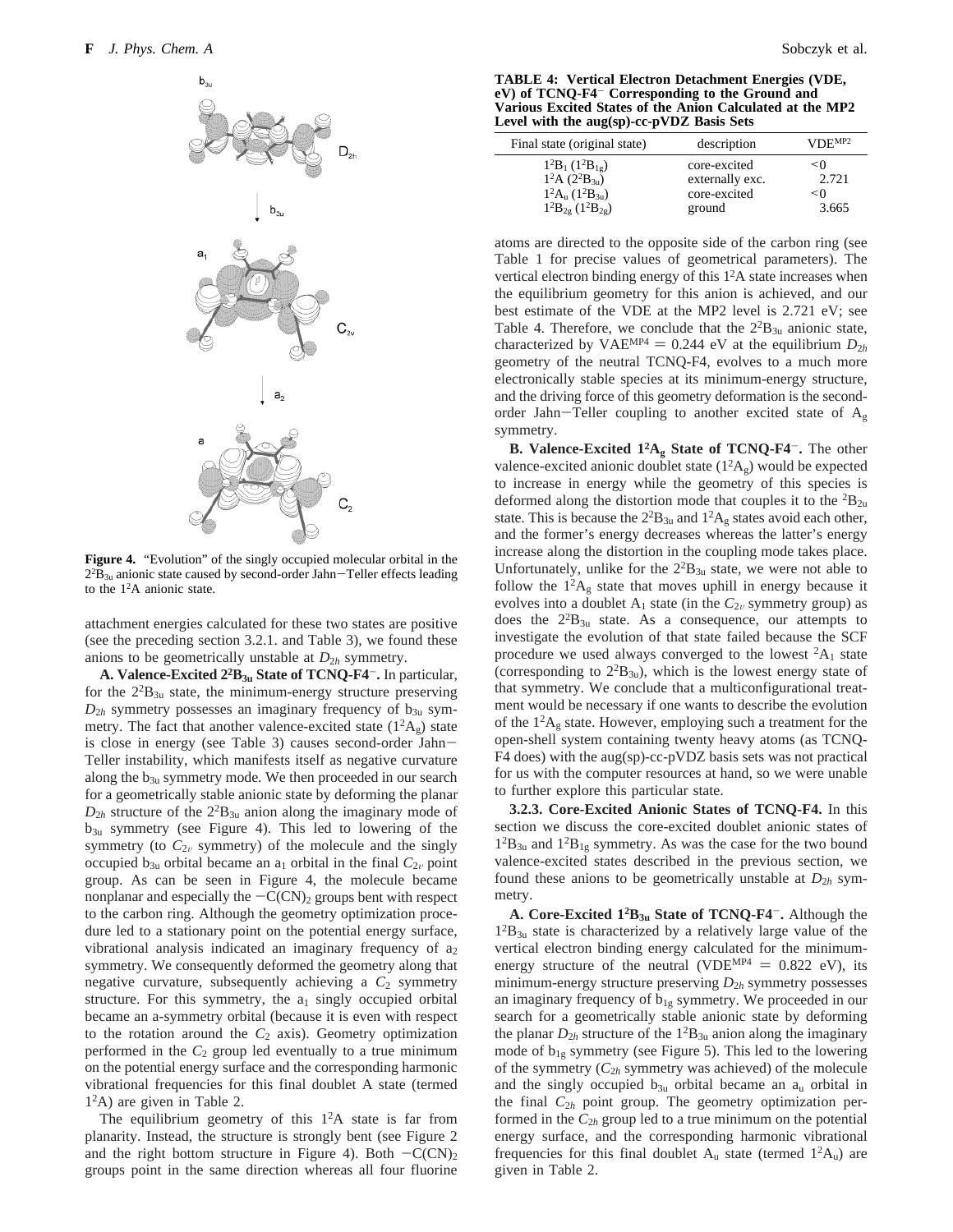

**Figure 4.** "Evolution" of the singly occupied molecular orbital in the  $2^{2}B_{3u}$  anionic state caused by second-order Jahn-Teller effects leading<br>to the 1<sup>2</sup>A anionic state to the  $1<sup>2</sup>A$  anionic state.

attachment energies calculated for these two states are positive (see the preceding section 3.2.1. and Table 3), we found these anions to be geometrically unstable at  $D_{2h}$  symmetry.

**A. Valence-Excited 22B3u State of TCNQ-F4**-**.** In particular, for the  $2^{2}B_{3u}$  state, the minimum-energy structure preserving  $D_{2h}$  symmetry possesses an imaginary frequency of  $b_{3u}$  symmetry. The fact that another valence-excited state  $(1^2A_g)$  state is close in energy (see Table 3) causes second-order Jahn-Teller instability, which manifests itself as negative curvature along the  $b_{3u}$  symmetry mode. We then proceeded in our search for a geometrically stable anionic state by deforming the planar  $D_{2h}$  structure of the  $2^{2}B_{3u}$  anion along the imaginary mode of  $b_{3u}$  symmetry (see Figure 4). This led to lowering of the symmetry (to  $C_{2v}$  symmetry) of the molecule and the singly occupied  $b_{3u}$  orbital became an  $a_1$  orbital in the final  $C_{2v}$  point group. As can be seen in Figure 4, the molecule became nonplanar and especially the  $-C(CN)_2$  groups bent with respect to the carbon ring. Although the geometry optimization procedure led to a stationary point on the potential energy surface, vibrational analysis indicated an imaginary frequency of  $a_2$ symmetry. We consequently deformed the geometry along that negative curvature, subsequently achieving a  $C_2$  symmetry structure. For this symmetry, the  $a_1$  singly occupied orbital became an a-symmetry orbital (because it is even with respect to the rotation around the  $C_2$  axis). Geometry optimization performed in the  $C_2$  group led eventually to a true minimum on the potential energy surface and the corresponding harmonic vibrational frequencies for this final doublet A state (termed 12A) are given in Table 2.

The equilibrium geometry of this  $1<sup>2</sup>A$  state is far from planarity. Instead, the structure is strongly bent (see Figure 2 and the right bottom structure in Figure 4). Both  $-C(CN)_{2}$ groups point in the same direction whereas all four fluorine

**TABLE 4: Vertical Electron Detachment Energies (VDE, eV) of TCNQ-F4**- **Corresponding to the Ground and Various Excited States of the Anion Calculated at the MP2 Level with the aug(sp)-cc-pVDZ Basis Sets**

| Final state (original state)    | description     | VDE <sub>MP2</sub> |
|---------------------------------|-----------------|--------------------|
| $1^2B_1(1^2B_{1g})$             | core-excited    | $\leq 0$           |
| $1^2A(2^2B_{30})$               | externally exc. | 2.721              |
| $1^2A_u(1^2B_{3u})$             | core-excited    | $\leq 0$           |
| $1^{2}B_{2g}$ ( $1^{2}B_{2g}$ ) | ground          | 3.665              |

atoms are directed to the opposite side of the carbon ring (see Table 1 for precise values of geometrical parameters). The vertical electron binding energy of this 12A state increases when the equilibrium geometry for this anion is achieved, and our best estimate of the VDE at the MP2 level is 2.721 eV; see Table 4. Therefore, we conclude that the  $2^{2}B_{3u}$  anionic state, characterized by VAE<sup>MP4</sup> = 0.244 eV at the equilibrium  $D_{2h}$ geometry of the neutral TCNQ-F4, evolves to a much more electronically stable species at its minimum-energy structure, and the driving force of this geometry deformation is the secondorder Jahn-Teller coupling to another excited state of  $A_g$ symmetry.

**B. Valence-Excited 12Ag State of TCNQ-F4**-**.** The other valence-excited anionic doublet state  $(1^2A_g)$  would be expected to increase in energy while the geometry of this species is deformed along the distortion mode that couples it to the  ${}^{2}B_{2u}$ state. This is because the  $2^{2}B_{3u}$  and  $1^{2}A_{g}$  states avoid each other, and the former's energy decreases whereas the latter's energy increase along the distortion in the coupling mode takes place. Unfortunately, unlike for the  $2^{2}B_{3u}$  state, we were not able to follow the  $1<sup>2</sup>A<sub>g</sub>$  state that moves uphill in energy because it evolves into a doublet  $A_1$  state (in the  $C_{2v}$  symmetry group) as does the  $2^{2}B_{3u}$  state. As a consequence, our attempts to investigate the evolution of that state failed because the SCF procedure we used always converged to the lowest  ${}^2A_1$  state (corresponding to  $2^{2}B_{3u}$ ), which is the lowest energy state of that symmetry. We conclude that a multiconfigurational treatment would be necessary if one wants to describe the evolution of the  $1<sup>2</sup>A<sub>g</sub>$  state. However, employing such a treatment for the open-shell system containing twenty heavy atoms (as TCNQ-F4 does) with the aug(sp)-cc-pVDZ basis sets was not practical for us with the computer resources at hand, so we were unable to further explore this particular state.

**3.2.3. Core-Excited Anionic States of TCNQ-F4.** In this section we discuss the core-excited doublet anionic states of  $1^{2}B_{3u}$  and  $1^{2}B_{1g}$  symmetry. As was the case for the two bound valence-excited states described in the previous section, we found these anions to be geometrically unstable at  $D_{2h}$  symmetry.

**A. Core-Excited 12B3u State of TCNQ-F4**-**.** Although the  $1^{2}B_{3u}$  state is characterized by a relatively large value of the vertical electron binding energy calculated for the minimumenergy structure of the neutral (VDE<sup>MP4</sup> =  $0.822$  eV), its minimum-energy structure preserving *D*<sup>2</sup>*<sup>h</sup>* symmetry possesses an imaginary frequency of  $b_{1g}$  symmetry. We proceeded in our search for a geometrically stable anionic state by deforming the planar  $D_{2h}$  structure of the  $1^{2}B_{3u}$  anion along the imaginary mode of  $b_{1g}$  symmetry (see Figure 5). This led to the lowering of the symmetry (*C*<sup>2</sup>*<sup>h</sup>* symmetry was achieved) of the molecule and the singly occupied  $b_{3u}$  orbital became an  $a_u$  orbital in the final *C*<sup>2</sup>*<sup>h</sup>* point group. The geometry optimization performed in the  $C_{2h}$  group led to a true minimum on the potential energy surface, and the corresponding harmonic vibrational frequencies for this final doublet  $A_u$  state (termed  $1^2A_u$ ) are given in Table 2.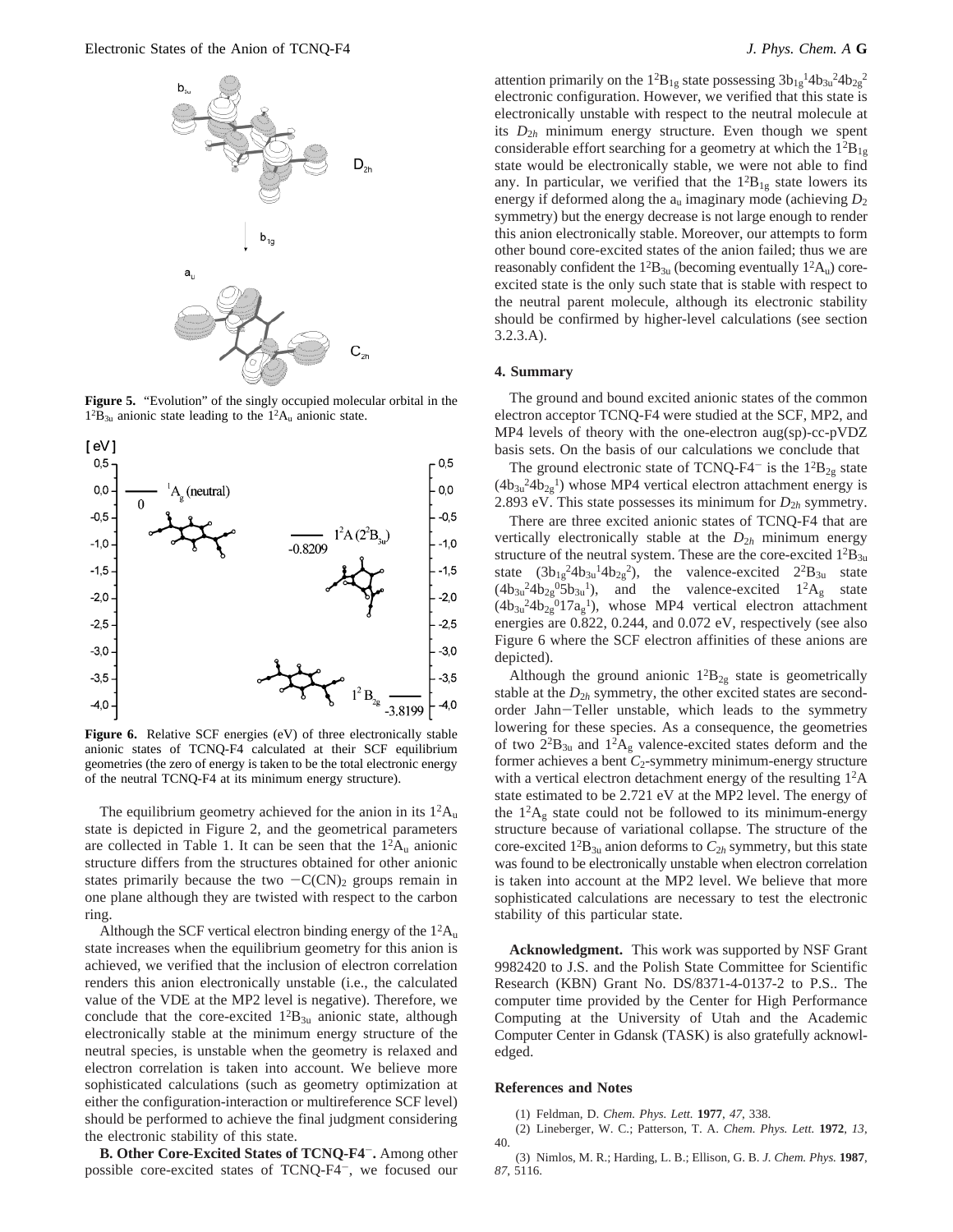

**Figure 5.** "Evolution" of the singly occupied molecular orbital in the  $1^{2}B_{3u}$  anionic state leading to the  $1^{2}A_{u}$  anionic state.



Figure 6. Relative SCF energies (eV) of three electronically stable anionic states of TCNQ-F4 calculated at their SCF equilibrium geometries (the zero of energy is taken to be the total electronic energy of the neutral TCNQ-F4 at its minimum energy structure).

The equilibrium geometry achieved for the anion in its  $1<sup>2</sup>A<sub>u</sub>$ state is depicted in Figure 2, and the geometrical parameters are collected in Table 1. It can be seen that the  $1<sup>2</sup>A<sub>u</sub>$  anionic structure differs from the structures obtained for other anionic states primarily because the two  $-C(CN)_2$  groups remain in one plane although they are twisted with respect to the carbon ring.

Although the SCF vertical electron binding energy of the  $1<sup>2</sup>A<sub>u</sub>$ state increases when the equilibrium geometry for this anion is achieved, we verified that the inclusion of electron correlation renders this anion electronically unstable (i.e., the calculated value of the VDE at the MP2 level is negative). Therefore, we conclude that the core-excited  $1^{2}B_{3u}$  anionic state, although electronically stable at the minimum energy structure of the neutral species, is unstable when the geometry is relaxed and electron correlation is taken into account. We believe more sophisticated calculations (such as geometry optimization at either the configuration-interaction or multireference SCF level) should be performed to achieve the final judgment considering the electronic stability of this state.

**B. Other Core-Excited States of TCNQ-F4**-**.** Among other possible core-excited states of TCNQ-F4-, we focused our

attention primarily on the  $1^{2}B_{1g}$  state possessing  $3b_{1g}^{1}4b_{3u}^{2}4b_{2g}^{2}$ electronic configuration. However, we verified that this state is electronically unstable with respect to the neutral molecule at its  $D_{2h}$  minimum energy structure. Even though we spent considerable effort searching for a geometry at which the  $1^{2}B_{1g}$ state would be electronically stable, we were not able to find any. In particular, we verified that the  $1^{2}B_{1g}$  state lowers its energy if deformed along the  $a_u$  imaginary mode (achieving  $D_2$ ) symmetry) but the energy decrease is not large enough to render this anion electronically stable. Moreover, our attempts to form other bound core-excited states of the anion failed; thus we are reasonably confident the  $1^{2}B_{3u}$  (becoming eventually  $1^{2}A_{u}$ ) coreexcited state is the only such state that is stable with respect to the neutral parent molecule, although its electronic stability should be confirmed by higher-level calculations (see section 3.2.3.A).

### **4. Summary**

The ground and bound excited anionic states of the common electron acceptor TCNQ-F4 were studied at the SCF, MP2, and MP4 levels of theory with the one-electron aug(sp)-cc-pVDZ basis sets. On the basis of our calculations we conclude that

The ground electronic state of TCNQ-F4<sup>-</sup> is the  $1^{2}B_{2g}$  state  $(4b_{3u}^{2}4b_{2g}^{1})$  whose MP4 vertical electron attachment energy is 2.893 eV. This state possesses its minimum for  $D_{2h}$  symmetry.

There are three excited anionic states of TCNQ-F4 that are vertically electronically stable at the  $D_{2h}$  minimum energy structure of the neutral system. These are the core-excited  $1^2B_{3u}$ state  $(3b_{1g}^24b_{3u}^24b_{2g}^2)$ , the valence-excited  $2^2B_{3u}$  state  $(4b_{3u}^24b_{2g}^05b_{3u}^1)$ , and the valence-excited  $1^2A_g$  state  $(4b_{3u}^{2}4b_{2g}^{0}17a_{g}^{1})$ , whose MP4 vertical electron attachment energies are 0.822, 0.244, and 0.072 eV, respectively (see also Figure 6 where the SCF electron affinities of these anions are depicted).

Although the ground anionic  $1^2B_{2g}$  state is geometrically stable at the  $D_{2h}$  symmetry, the other excited states are secondorder Jahn-Teller unstable, which leads to the symmetry lowering for these species. As a consequence, the geometries of two  $2^{2}B_{3u}$  and  $1^{2}A_{g}$  valence-excited states deform and the former achieves a bent *C*<sub>2</sub>-symmetry minimum-energy structure with a vertical electron detachment energy of the resulting  $1<sup>2</sup>A$ state estimated to be 2.721 eV at the MP2 level. The energy of the  $1<sup>2</sup>A<sub>g</sub>$  state could not be followed to its minimum-energy structure because of variational collapse. The structure of the core-excited  $1^2B_{3u}$  anion deforms to  $C_{2h}$  symmetry, but this state was found to be electronically unstable when electron correlation is taken into account at the MP2 level. We believe that more sophisticated calculations are necessary to test the electronic stability of this particular state.

**Acknowledgment.** This work was supported by NSF Grant 9982420 to J.S. and the Polish State Committee for Scientific Research (KBN) Grant No. DS/8371-4-0137-2 to P.S.. The computer time provided by the Center for High Performance Computing at the University of Utah and the Academic Computer Center in Gdansk (TASK) is also gratefully acknowledged.

#### **References and Notes**

(1) Feldman, D. *Chem. Phys. Lett.* **1977**, *47*, 338.

<sup>(2)</sup> Lineberger, W. C.; Patterson, T. A. *Chem. Phys. Lett.* **1972**, *13*, 40.

<sup>(3)</sup> Nimlos, M. R.; Harding, L. B.; Ellison, G. B. *J. Chem. Phys.* **1987**, *87*, 5116.